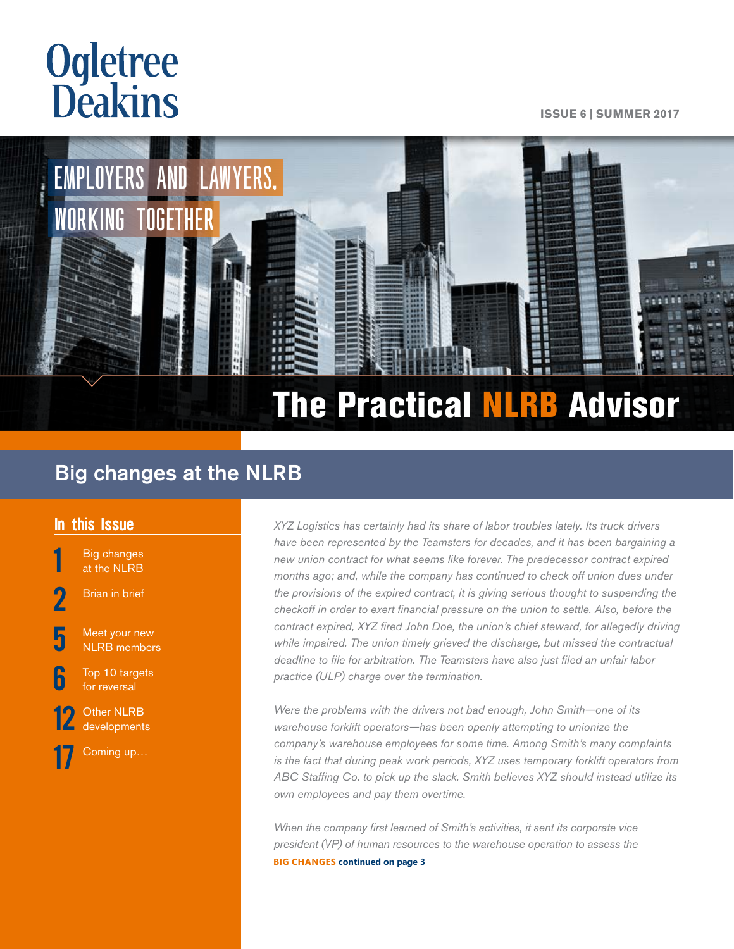# **Ogletree**<br>**Deakins**

#### **ISSUE 6 | SUMMER 2017**



# Big changes at the NLRB

## In this Issue

**Big changes** at the NLRB

**[Brian in brief](#page-1-0)** 

Meet your new [NLRB members](#page-4-0)

For the Top 10 targets [for reversal](#page-5-0)

[12](#page-11-0) Other NLRB<br>[developments](#page-11-0)

[Coming up…](#page-16-0)

XYZ Logistics has certainly had its share of labor troubles lately. Its truck drivers *have been represented by the Teamsters for decades, and it has been bargaining a new union contract for what seems like forever. The predecessor contract expired months ago; and, while the company has continued to check off union dues under the provisions of the expired contract, it is giving serious thought to suspending the checkoff in order to exert financial pressure on the union to settle. Also, before the contract expired, XYZ fired John Doe, the union's chief steward, for allegedly driving while impaired. The union timely grieved the discharge, but missed the contractual deadline to file for arbitration. The Teamsters have also just filed an unfair labor practice (ULP) charge over the termination.* 

*Were the problems with the drivers not bad enough, John Smith—one of its warehouse forklift operators—has been openly attempting to unionize the company's warehouse employees for some time. Among Smith's many complaints is the fact that during peak work periods, XYZ uses temporary forklift operators from ABC Staffing Co. to pick up the slack. Smith believes XYZ should instead utilize its own employees and pay them overtime.* 

*When the company first learned of Smith's activities, it sent its corporate vice president (VP) of human resources to the warehouse operation to assess the*  **BIG CHANGES continued on page 3**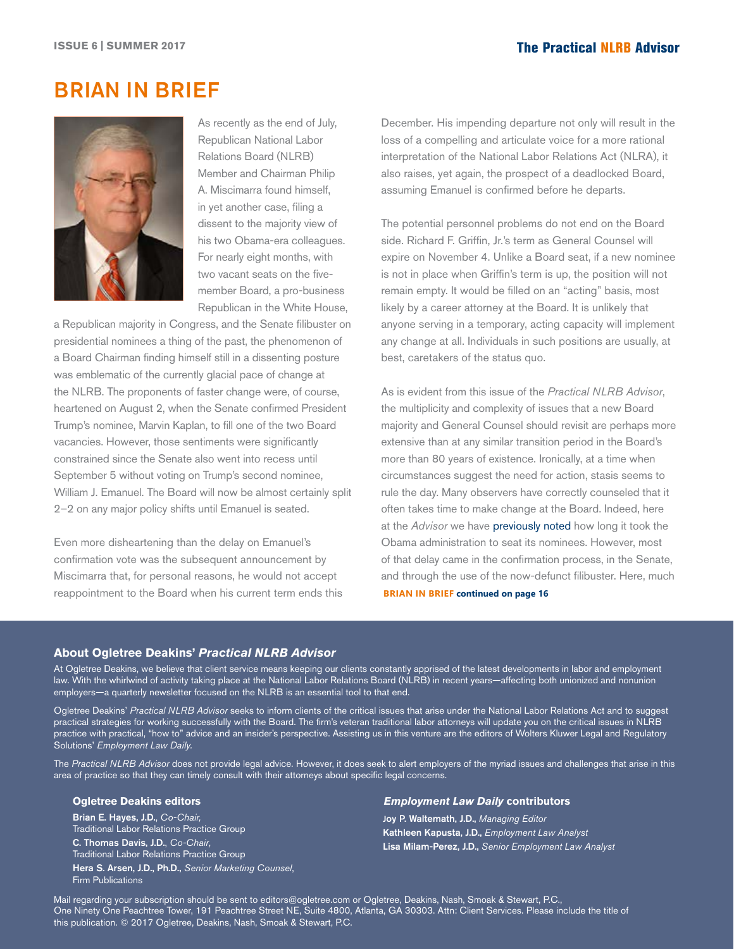# <span id="page-1-0"></span>BRIAN IN BRIEF



As recently as the end of July, Republican National Labor Relations Board (NLRB) Member and Chairman Philip A. Miscimarra found himself, in yet another case, filing a dissent to the majority view of his two Obama-era colleagues. For nearly eight months, with two vacant seats on the fivemember Board, a pro-business Republican in the White House,

a Republican majority in Congress, and the Senate filibuster on presidential nominees a thing of the past, the phenomenon of a Board Chairman finding himself still in a dissenting posture was emblematic of the currently glacial pace of change at the NLRB. The proponents of faster change were, of course, heartened on August 2, when the Senate confirmed President Trump's nominee, Marvin Kaplan, to fill one of the two Board vacancies. However, those sentiments were significantly constrained since the Senate also went into recess until September 5 without voting on Trump's second nominee, William J. Emanuel. The Board will now be almost certainly split 2–2 on any major policy shifts until Emanuel is seated.

Even more disheartening than the delay on Emanuel's confirmation vote was the subsequent announcement by Miscimarra that, for personal reasons, he would not accept reappointment to the Board when his current term ends this December. His impending departure not only will result in the loss of a compelling and articulate voice for a more rational interpretation of the National Labor Relations Act (NLRA), it also raises, yet again, the prospect of a deadlocked Board, assuming Emanuel is confirmed before he departs.

The potential personnel problems do not end on the Board side. Richard F. Griffin, Jr.'s term as General Counsel will expire on November 4. Unlike a Board seat, if a new nominee is not in place when Griffin's term is up, the position will not remain empty. It would be filled on an "acting" basis, most likely by a career attorney at the Board. It is unlikely that anyone serving in a temporary, acting capacity will implement any change at all. Individuals in such positions are usually, at best, caretakers of the status quo.

As is evident from this issue of the *Practical NLRB Advisor*, the multiplicity and complexity of issues that a new Board majority and General Counsel should revisit are perhaps more extensive than at any similar transition period in the Board's more than 80 years of existence. Ironically, at a time when circumstances suggest the need for action, stasis seems to rule the day. Many observers have correctly counseled that it often takes time to make change at the Board. Indeed, here at the *Advisor* we have [previously noted](http://ogletree.com/shared-content/content/articles/publications/newsletters/2017/05/16/13/09/~/media/784cd6cc1b184495834d7a28fac54f3b.ashx) how long it took the Obama administration to seat its nominees. However, most of that delay came in the confirmation process, in the Senate, and through the use of the now-defunct filibuster. Here, much **BRIAN IN BRIEF continued on page 16**

### **About Ogletree Deakins'** *Practical NLRB Advisor*

At Ogletree Deakins, we believe that client service means keeping our clients constantly apprised of the latest developments in labor and employment law. With the whirlwind of activity taking place at the National Labor Relations Board (NLRB) in recent years—affecting both unionized and nonunion employers—a quarterly newsletter focused on the NLRB is an essential tool to that end.

Ogletree Deakins' *Practical NLRB Advisor* seeks to inform clients of the critical issues that arise under the National Labor Relations Act and to suggest practical strategies for working successfully with the Board. The firm's veteran traditional labor attorneys will update you on the critical issues in NLRB practice with practical, "how to" advice and an insider's perspective. Assisting us in this venture are the editors of Wolters Kluwer Legal and Regulatory Solutions' *Employment Law Daily.*

The *Practical NLRB Advisor* does not provide legal advice. However, it does seek to alert employers of the myriad issues and challenges that arise in this area of practice so that they can timely consult with their attorneys about specific legal concerns.

## **Ogletree Deakins editors**

Brian E. Hayes, J.D., *Co-Chair,* Traditional Labor Relations Practice Group C. Thomas Davis, J.D., *Co-Chair*, Traditional Labor Relations Practice Group Hera S. Arsen, J.D., Ph.D., *Senior Marketing Counsel*, Firm Publications

#### *Employment Law Daily* **contributors**

Joy P. Waltemath, J.D., *Managing Editor* Kathleen Kapusta, J.D., *Employment Law Analyst* Lisa Milam-Perez, J.D., *Senior Employment Law Analyst*

Mail regarding your subscription should be sent to [editors@ogletree.com](mailto:editors@ogletree.com) or Ogletree, Deakins, Nash, Smoak & Stewart, P.C., One Ninety One Peachtree Tower, 191 Peachtree Street NE, Suite 4800, Atlanta, GA 30303. Attn: Client Services. Please include the title of this publication. © 2017 Ogletree, Deakins, Nash, Smoak & Stewart, P.C.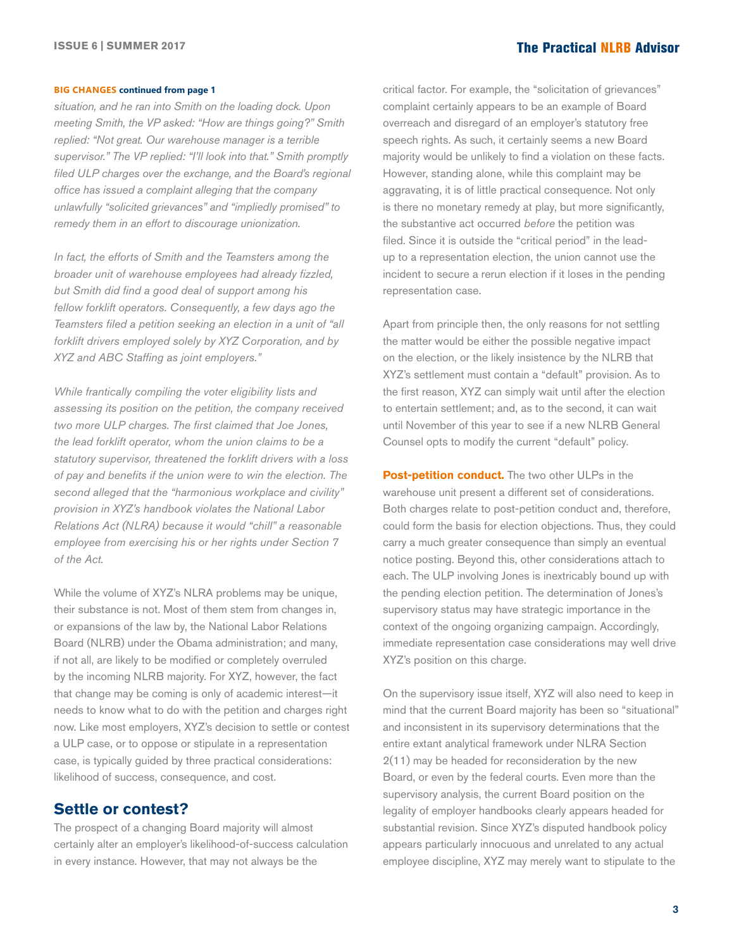#### **BIG CHANGES continued from page 1**

*situation, and he ran into Smith on the loading dock. Upon meeting Smith, the VP asked: "How are things going?" Smith replied: "Not great. Our warehouse manager is a terrible supervisor." The VP replied: "I'll look into that." Smith promptly filed ULP charges over the exchange, and the Board's regional office has issued a complaint alleging that the company unlawfully "solicited grievances" and "impliedly promised" to remedy them in an effort to discourage unionization.*

*In fact, the efforts of Smith and the Teamsters among the broader unit of warehouse employees had already fizzled, but Smith did find a good deal of support among his fellow forklift operators. Consequently, a few days ago the Teamsters filed a petition seeking an election in a unit of "all forklift drivers employed solely by XYZ Corporation, and by XYZ and ABC Staffing as joint employers."* 

*While frantically compiling the voter eligibility lists and assessing its position on the petition, the company received two more ULP charges. The first claimed that Joe Jones, the lead forklift operator, whom the union claims to be a statutory supervisor, threatened the forklift drivers with a loss of pay and benefits if the union were to win the election. The second alleged that the "harmonious workplace and civility" provision in XYZ's handbook violates the National Labor Relations Act (NLRA) because it would "chill" a reasonable employee from exercising his or her rights under Section 7 of the Act.* 

While the volume of XYZ's NLRA problems may be unique, their substance is not. Most of them stem from changes in, or expansions of the law by, the National Labor Relations Board (NLRB) under the Obama administration; and many, if not all, are likely to be modified or completely overruled by the incoming NLRB majority. For XYZ, however, the fact that change may be coming is only of academic interest—it needs to know what to do with the petition and charges right now. Like most employers, XYZ's decision to settle or contest a ULP case, or to oppose or stipulate in a representation case, is typically guided by three practical considerations: likelihood of success, consequence, and cost.

## **Settle or contest?**

The prospect of a changing Board majority will almost certainly alter an employer's likelihood-of-success calculation in every instance. However, that may not always be the

critical factor. For example, the "solicitation of grievances" complaint certainly appears to be an example of Board overreach and disregard of an employer's statutory free speech rights. As such, it certainly seems a new Board majority would be unlikely to find a violation on these facts. However, standing alone, while this complaint may be aggravating, it is of little practical consequence. Not only is there no monetary remedy at play, but more significantly, the substantive act occurred *before* the petition was filed. Since it is outside the "critical period" in the leadup to a representation election, the union cannot use the incident to secure a rerun election if it loses in the pending representation case.

Apart from principle then, the only reasons for not settling the matter would be either the possible negative impact on the election, or the likely insistence by the NLRB that XYZ's settlement must contain a "default" provision. As to the first reason, XYZ can simply wait until after the election to entertain settlement; and, as to the second, it can wait until November of this year to see if a new NLRB General Counsel opts to modify the current "default" policy.

**Post-petition conduct.** The two other ULPs in the warehouse unit present a different set of considerations. Both charges relate to post-petition conduct and, therefore, could form the basis for election objections. Thus, they could carry a much greater consequence than simply an eventual notice posting. Beyond this, other considerations attach to each. The ULP involving Jones is inextricably bound up with the pending election petition. The determination of Jones's supervisory status may have strategic importance in the context of the ongoing organizing campaign. Accordingly, immediate representation case considerations may well drive XYZ's position on this charge.

On the supervisory issue itself, XYZ will also need to keep in mind that the current Board majority has been so "situational" and inconsistent in its supervisory determinations that the entire extant analytical framework under NLRA Section 2(11) may be headed for reconsideration by the new Board, or even by the federal courts. Even more than the supervisory analysis, the current Board position on the legality of employer handbooks clearly appears headed for substantial revision. Since XYZ's disputed handbook policy appears particularly innocuous and unrelated to any actual employee discipline, XYZ may merely want to stipulate to the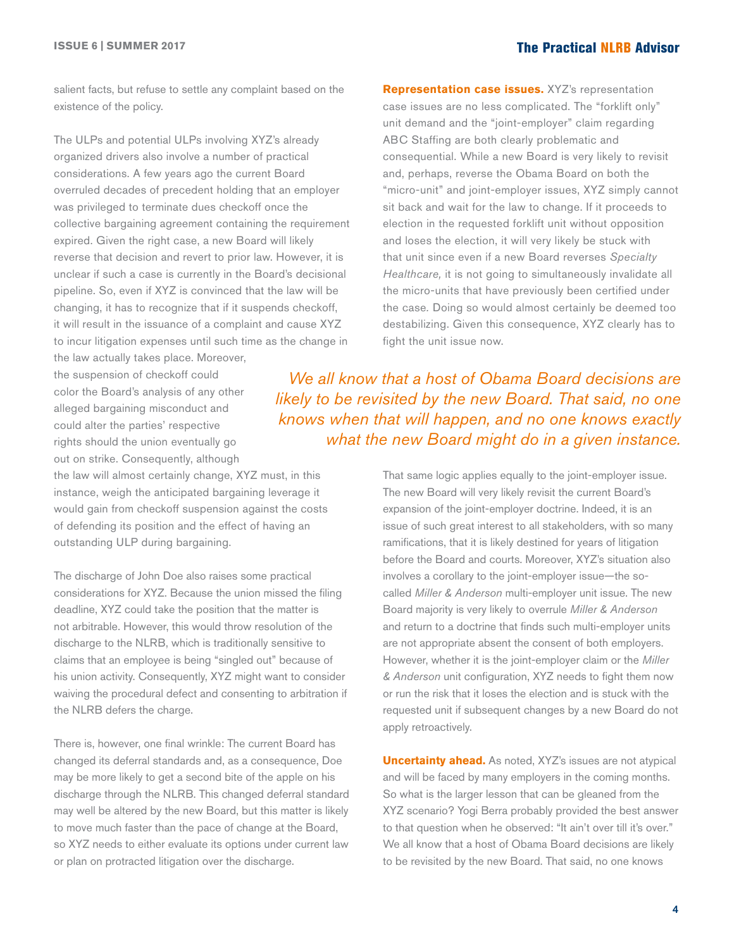salient facts, but refuse to settle any complaint based on the existence of the policy.

The ULPs and potential ULPs involving XYZ's already organized drivers also involve a number of practical considerations. A few years ago the current Board overruled decades of precedent holding that an employer was privileged to terminate dues checkoff once the collective bargaining agreement containing the requirement expired. Given the right case, a new Board will likely reverse that decision and revert to prior law. However, it is unclear if such a case is currently in the Board's decisional pipeline. So, even if XYZ is convinced that the law will be changing, it has to recognize that if it suspends checkoff, it will result in the issuance of a complaint and cause XYZ to incur litigation expenses until such time as the change in

the law actually takes place. Moreover, the suspension of checkoff could color the Board's analysis of any other alleged bargaining misconduct and could alter the parties' respective rights should the union eventually go out on strike. Consequently, although

the law will almost certainly change, XYZ must, in this instance, weigh the anticipated bargaining leverage it would gain from checkoff suspension against the costs of defending its position and the effect of having an outstanding ULP during bargaining.

The discharge of John Doe also raises some practical considerations for XYZ. Because the union missed the filing deadline, XYZ could take the position that the matter is not arbitrable. However, this would throw resolution of the discharge to the NLRB, which is traditionally sensitive to claims that an employee is being "singled out" because of his union activity. Consequently, XYZ might want to consider waiving the procedural defect and consenting to arbitration if the NLRB defers the charge.

There is, however, one final wrinkle: The current Board has changed its deferral standards and, as a consequence, Doe may be more likely to get a second bite of the apple on his discharge through the NLRB. This changed deferral standard may well be altered by the new Board, but this matter is likely to move much faster than the pace of change at the Board, so XYZ needs to either evaluate its options under current law or plan on protracted litigation over the discharge.

**Representation case issues.** XYZ's representation case issues are no less complicated. The "forklift only" unit demand and the "joint-employer" claim regarding ABC Staffing are both clearly problematic and consequential. While a new Board is very likely to revisit and, perhaps, reverse the Obama Board on both the "micro-unit" and joint-employer issues, XYZ simply cannot sit back and wait for the law to change. If it proceeds to election in the requested forklift unit without opposition and loses the election, it will very likely be stuck with that unit since even if a new Board reverses *Specialty Healthcare,* it is not going to simultaneously invalidate all the micro-units that have previously been certified under the case*.* Doing so would almost certainly be deemed too destabilizing. Given this consequence, XYZ clearly has to fight the unit issue now.

*We all know that a host of Obama Board decisions are likely to be revisited by the new Board. That said, no one knows when that will happen, and no one knows exactly what the new Board might do in a given instance.*

> That same logic applies equally to the joint-employer issue. The new Board will very likely revisit the current Board's expansion of the joint-employer doctrine. Indeed, it is an issue of such great interest to all stakeholders, with so many ramifications, that it is likely destined for years of litigation before the Board and courts. Moreover, XYZ's situation also involves a corollary to the joint-employer issue—the socalled *Miller & Anderson* multi-employer unit issue. The new Board majority is very likely to overrule *Miller & Anderson*  and return to a doctrine that finds such multi-employer units are not appropriate absent the consent of both employers. However, whether it is the joint-employer claim or the *Miller & Anderson* unit configuration, XYZ needs to fight them now or run the risk that it loses the election and is stuck with the requested unit if subsequent changes by a new Board do not apply retroactively.

> **Uncertainty ahead.** As noted, XYZ's issues are not atypical and will be faced by many employers in the coming months. So what is the larger lesson that can be gleaned from the XYZ scenario? Yogi Berra probably provided the best answer to that question when he observed: "It ain't over till it's over." We all know that a host of Obama Board decisions are likely to be revisited by the new Board. That said, no one knows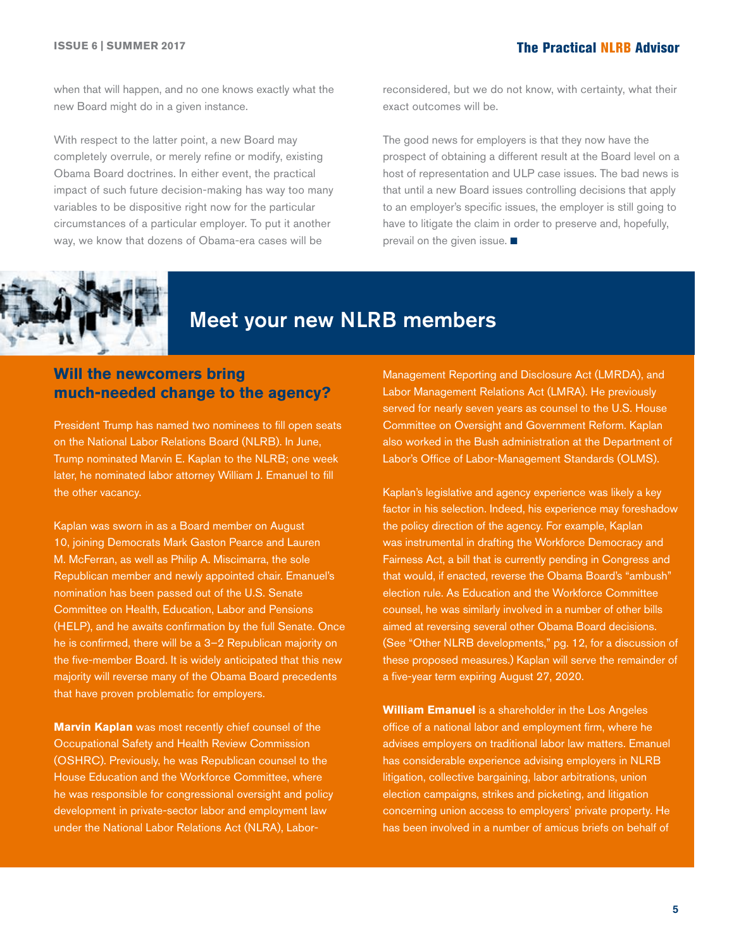<span id="page-4-0"></span>when that will happen, and no one knows exactly what the new Board might do in a given instance.

With respect to the latter point, a new Board may completely overrule, or merely refine or modify, existing Obama Board doctrines. In either event, the practical impact of such future decision-making has way too many variables to be dispositive right now for the particular circumstances of a particular employer. To put it another way, we know that dozens of Obama-era cases will be

reconsidered, but we do not know, with certainty, what their exact outcomes will be.

The good news for employers is that they now have the prospect of obtaining a different result at the Board level on a host of representation and ULP case issues. The bad news is that until a new Board issues controlling decisions that apply to an employer's specific issues, the employer is still going to have to litigate the claim in order to preserve and, hopefully, prevail on the given issue.  $\blacksquare$ 



# Meet your new NLRB members

# **Will the newcomers bring much-needed change to the agency?**

President Trump has named two nominees to fill open seats on the National Labor Relations Board (NLRB). In June, Trump nominated Marvin E. Kaplan to the NLRB; one week later, he nominated labor attorney William J. Emanuel to fill the other vacancy.

Kaplan was sworn in as a Board member on August 10, joining Democrats Mark Gaston Pearce and Lauren M. McFerran, as well as Philip A. Miscimarra, the sole Republican member and newly appointed chair. Emanuel's nomination has been passed out of the U.S. Senate Committee on Health, Education, Labor and Pensions (HELP), and he awaits confirmation by the full Senate. Once he is confirmed, there will be a 3–2 Republican majority on the five-member Board. It is widely anticipated that this new majority will reverse many of the Obama Board precedents that have proven problematic for employers.

**Marvin Kaplan** was most recently chief counsel of the Occupational Safety and Health Review Commission (OSHRC). Previously, he was Republican counsel to the House Education and the Workforce Committee, where he was responsible for congressional oversight and policy development in private-sector labor and employment law under the National Labor Relations Act (NLRA), LaborManagement Reporting and Disclosure Act (LMRDA), and Labor Management Relations Act (LMRA). He previously served for nearly seven years as counsel to the U.S. House Committee on Oversight and Government Reform. Kaplan also worked in the Bush administration at the Department of Labor's Office of Labor-Management Standards (OLMS).

Kaplan's legislative and agency experience was likely a key factor in his selection. Indeed, his experience may foreshadow the policy direction of the agency. For example, Kaplan was instrumental in drafting the Workforce Democracy and Fairness Act, a bill that is currently pending in Congress and that would, if enacted, reverse the Obama Board's "ambush" election rule. As Education and the Workforce Committee counsel, he was similarly involved in a number of other bills aimed at reversing several other Obama Board decisions. (See "Other NLRB developments," pg. 12, for a discussion of these proposed measures.) Kaplan will serve the remainder of a five-year term expiring August 27, 2020.

**William Emanuel** is a shareholder in the Los Angeles office of a national labor and employment firm, where he advises employers on traditional labor law matters. Emanuel has considerable experience advising employers in NLRB litigation, collective bargaining, labor arbitrations, union election campaigns, strikes and picketing, and litigation concerning union access to employers' private property. He has been involved in a number of amicus briefs on behalf of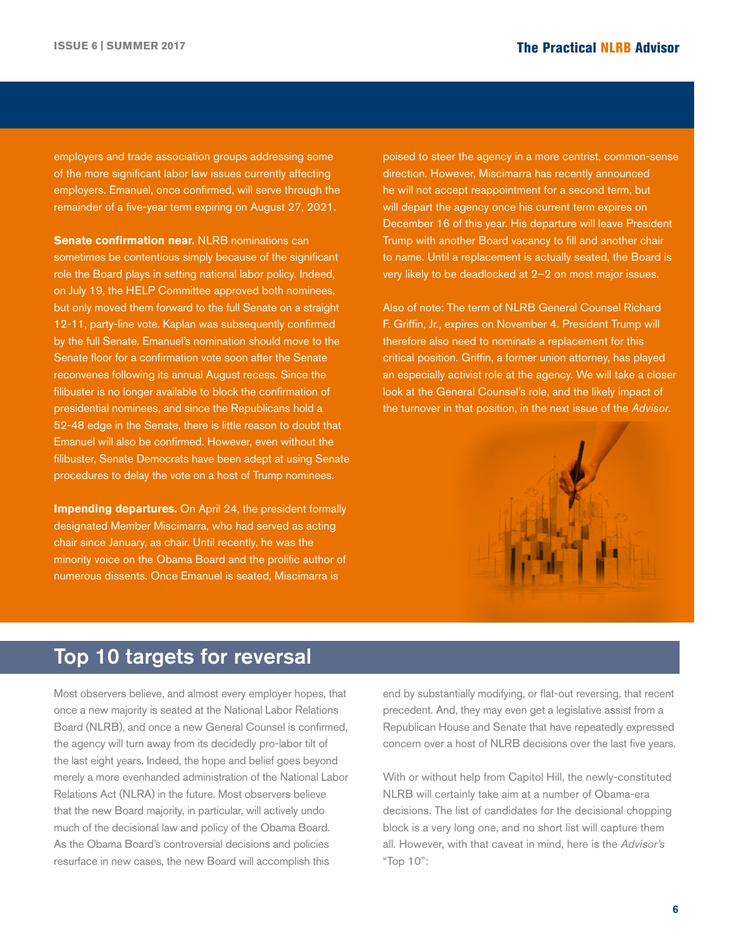<span id="page-5-0"></span>employers and trade association groups addressing some of the more significant labor law issues currently affecting employers. Emanuel, once confirmed, will serve through the remainder of a five-year term expiring on August 27, 2021.

**Senate confirmation near.** NLRB nominations can sometimes be contentious simply because of the significant role the Board plays in setting national labor policy. Indeed, on July 19, the HELP Committee approved both nominees, but only moved them forward to the full Senate on a straight 12-11, party-line vote. Kaplan was subsequently confirmed by the full Senate. Emanuel's nomination should move to the Senate floor for a confirmation vote soon after the Senate reconvenes following its annual August recess. Since the filibuster is no longer available to block the confirmation of presidential nominees, and since the Republicans hold a 52-48 edge in the Senate, there is little reason to doubt that Emanuel will also be confirmed. However, even without the filibuster, Senate Democrats have been adept at using Senate procedures to delay the vote on a host of Trump nominees.

**Impending departures.** On April 24, the president formally designated Member Miscimarra, who had served as acting chair since January, as chair. Until recently, he was the minority voice on the Obama Board and the prolific author of numerous dissents. Once Emanuel is seated, Miscimarra is

poised to steer the agency in a more centrist, common-sense direction. However, Miscimarra has recently announced he will not accept reappointment for a second term, but will depart the agency once his current term expires on December 16 of this year. His departure will leave President Trump with another Board vacancy to fill and another chair to name. Until a replacement is actually seated, the Board is very likely to be deadlocked at 2–2 on most major issues.

Also of note: The term of NLRB General Counsel Richard F. Griffin, Jr., expires on November 4. President Trump will therefore also need to nominate a replacement for this critical position. Griffin, a former union attorney, has played an especially activist role at the agency. We will take a closer look at the General Counsel's role, and the likely impact of the turnover in that position, in the next issue of the *Advisor*.



# Top 10 targets for reversal

Most observers believe, and almost every employer hopes, that once a new majority is seated at the National Labor Relations Board (NLRB), and once a new General Counsel is confirmed, the agency will turn away from its decidedly pro-labor tilt of the last eight years. Indeed, the hope and belief goes beyond merely a more evenhanded administration of the National Labor Relations Act (NLRA) in the future. Most observers believe that the new Board majority, in particular, will actively undo much of the decisional law and policy of the Obama Board. As the Obama Board's controversial decisions and policies resurface in new cases, the new Board will accomplish this

end by substantially modifying, or flat-out reversing, that recent precedent. And, they may even get a legislative assist from a Republican House and Senate that have repeatedly expressed concern over a host of NLRB decisions over the last five years.

With or without help from Capitol Hill, the newly-constituted NLRB will certainly take aim at a number of Obama-era decisions. The list of candidates for the decisional chopping block is a very long one, and no short list will capture them all. However, with that caveat in mind, here is the *Advisor's*  "Top 10":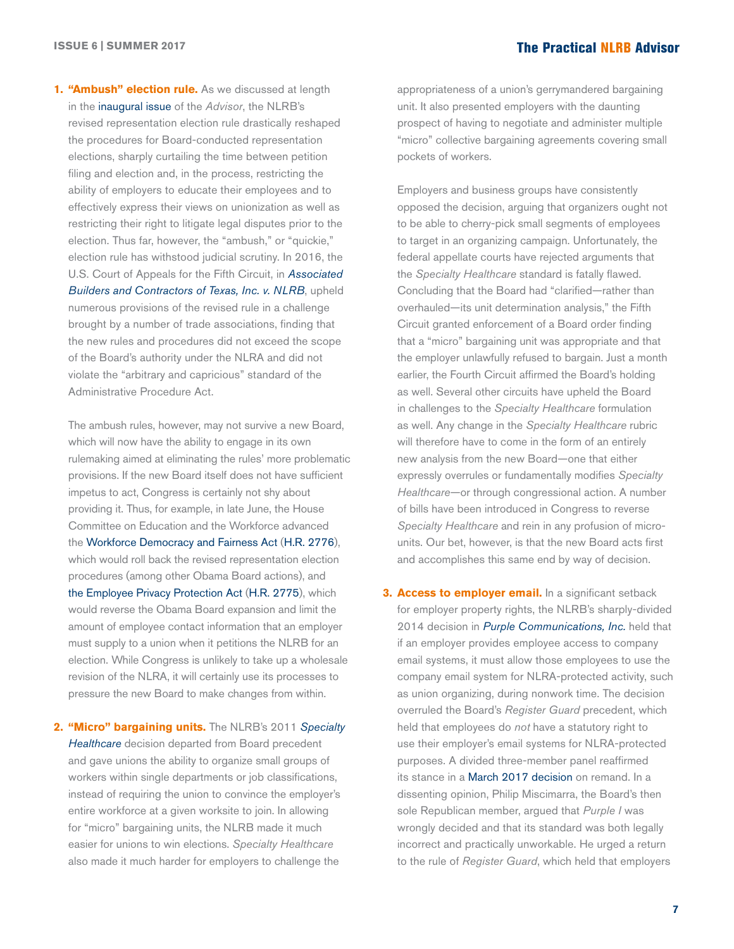**1. "Ambush" election rule.** As we discussed at length in the [inaugural issue](https://ogletree.com/practices/~/media/974f299093434339ab39b3169ac70ddc.ashx) of the *Advisor*, the NLRB's revised representation election rule drastically reshaped the procedures for Board-conducted representation elections, sharply curtailing the time between petition filing and election and, in the process, restricting the ability of employers to educate their employees and to effectively express their views on unionization as well as restricting their right to litigate legal disputes prior to the election. Thus far, however, the "ambush," or "quickie," election rule has withstood judicial scrutiny. In 2016, the U.S. Court of Appeals for the Fifth Circuit, in *[Associated](http://hr.cch.com/ELD/BuildersNLRB061016.pdf)  [Builders and Contractors of Texas, Inc. v. NLRB](http://hr.cch.com/ELD/BuildersNLRB061016.pdf)*, upheld numerous provisions of the revised rule in a challenge brought by a number of trade associations, finding that the new rules and procedures did not exceed the scope of the Board's authority under the NLRA and did not violate the "arbitrary and capricious" standard of the Administrative Procedure Act.

The ambush rules, however, may not survive a new Board, which will now have the ability to engage in its own rulemaking aimed at eliminating the rules' more problematic provisions. If the new Board itself does not have sufficient impetus to act, Congress is certainly not shy about providing it. Thus, for example, in late June, the House Committee on Education and the Workforce advanced the [Workforce Democracy and Fairness Act](https://edworkforce.house.gov/uploadedfiles/hr_2776_bill_text.pdf) [\(H.R. 2776\)](https://edworkforce.house.gov/uploadedfiles/hr_2776_bill_text.pdf), which would roll back the revised representation election procedures (among other Obama Board actions), and [the Employee Privacy Protection Act](https://edworkforce.house.gov/uploadedfiles/hr_2775_bill_text.pdf) ([H.R. 2775\)](https://edworkforce.house.gov/uploadedfiles/hr_2775_bill_text.pdf), which would reverse the Obama Board expansion and limit the amount of employee contact information that an employer must supply to a union when it petitions the NLRB for an election. While Congress is unlikely to take up a wholesale revision of the NLRA, it will certainly use its processes to pressure the new Board to make changes from within.

**2. "Micro" bargaining units.** The NLRB's 2011 *[Specialty](http://hr.cch.com/eld/SpecialtyHealthcare.pdf)  [Healthcare](http://hr.cch.com/eld/SpecialtyHealthcare.pdf)* decision departed from Board precedent and gave unions the ability to organize small groups of workers within single departments or job classifications, instead of requiring the union to convince the employer's entire workforce at a given worksite to join. In allowing for "micro" bargaining units, the NLRB made it much easier for unions to win elections. *Specialty Healthcare* also made it much harder for employers to challenge the

appropriateness of a union's gerrymandered bargaining unit. It also presented employers with the daunting prospect of having to negotiate and administer multiple "micro" collective bargaining agreements covering small pockets of workers.

Employers and business groups have consistently opposed the decision, arguing that organizers ought not to be able to cherry-pick small segments of employees to target in an organizing campaign. Unfortunately, the federal appellate courts have rejected arguments that the *Specialty Healthcare* standard is fatally flawed. Concluding that the Board had "clarified—rather than overhauled—its unit determination analysis," the Fifth Circuit granted enforcement of a Board order finding that a "micro" bargaining unit was appropriate and that the employer unlawfully refused to bargain. Just a month earlier, the Fourth Circuit affirmed the Board's holding as well. Several other circuits have upheld the Board in challenges to the *Specialty Healthcare* formulation as well. Any change in the *Specialty Healthcare* rubric will therefore have to come in the form of an entirely new analysis from the new Board—one that either expressly overrules or fundamentally modifies *Specialty Healthcare*—or through congressional action. A number of bills have been introduced in Congress to reverse *Specialty Healthcare* and rein in any profusion of microunits. Our bet, however, is that the new Board acts first and accomplishes this same end by way of decision.

**3. Access to employer email.** In a significant setback for employer property rights, the NLRB's sharply-divided 2014 decision in *[Purple Communications, Inc.](http://hr.cch.com/ELD/PurpleCommunicationsNLRB121014.pdf)* held that if an employer provides employee access to company email systems, it must allow those employees to use the company email system for NLRA-protected activity, such as union organizing, during nonwork time. The decision overruled the Board's *Register Guard* precedent, which held that employees do *not* have a statutory right to use their employer's email systems for NLRA-protected purposes. A divided three-member panel reaffirmed its stance in a [March 2017 decision](http://hr.cch.com/eld/PurpleCommunications032417.pdf) on remand. In a dissenting opinion, Philip Miscimarra, the Board's then sole Republican member, argued that *Purple I* was wrongly decided and that its standard was both legally incorrect and practically unworkable. He urged a return to the rule of *Register Guard*, which held that employers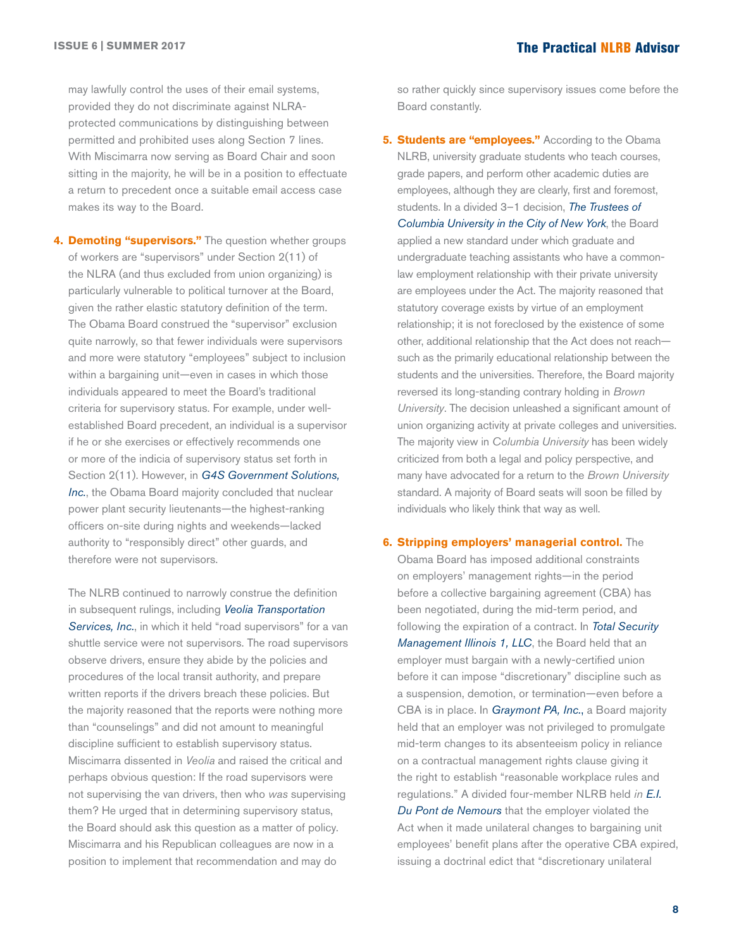may lawfully control the uses of their email systems, provided they do not discriminate against NLRAprotected communications by distinguishing between permitted and prohibited uses along Section 7 lines. With Miscimarra now serving as Board Chair and soon sitting in the majority, he will be in a position to effectuate a return to precedent once a suitable email access case makes its way to the Board.

**4. Demoting "supervisors."** The question whether groups of workers are "supervisors" under Section 2(11) of the NLRA (and thus excluded from union organizing) is particularly vulnerable to political turnover at the Board, given the rather elastic statutory definition of the term. The Obama Board construed the "supervisor" exclusion quite narrowly, so that fewer individuals were supervisors and more were statutory "employees" subject to inclusion within a bargaining unit—even in cases in which those individuals appeared to meet the Board's traditional criteria for supervisory status. For example, under wellestablished Board precedent, an individual is a supervisor if he or she exercises or effectively recommends one or more of the indicia of supervisory status set forth in Section 2(11). However, in *[G4S Government Solutions,](http://hr.cch.com/ELD/G4S02102016.pdf)  [Inc.](http://hr.cch.com/ELD/G4S02102016.pdf)*, the Obama Board majority concluded that nuclear power plant security lieutenants—the highest-ranking officers on-site during nights and weekends—lacked authority to "responsibly direct" other guards, and therefore were not supervisors.

The NLRB continued to narrowly construe the definition in subsequent rulings, including *[Veolia Transportation](http://hr.cch.com/ELD/VeoliaTransportation051216.pdf)  [Services, Inc.](http://hr.cch.com/ELD/VeoliaTransportation051216.pdf)*, in which it held "road supervisors" for a van shuttle service were not supervisors. The road supervisors observe drivers, ensure they abide by the policies and procedures of the local transit authority, and prepare written reports if the drivers breach these policies. But the majority reasoned that the reports were nothing more than "counselings" and did not amount to meaningful discipline sufficient to establish supervisory status. Miscimarra dissented in *Veolia* and raised the critical and perhaps obvious question: If the road supervisors were not supervising the van drivers, then who *was* supervising them? He urged that in determining supervisory status, the Board should ask this question as a matter of policy. Miscimarra and his Republican colleagues are now in a position to implement that recommendation and may do

so rather quickly since supervisory issues come before the Board constantly.

**5. Students are "employees."** According to the Obama NLRB, university graduate students who teach courses, grade papers, and perform other academic duties are employees, although they are clearly, first and foremost, students. In a divided 3–1 decision, *[The Trustees of](http://hr.cch.com/ELD/ColumbiaUniversity082316.pdf)  [Columbia University in the City of New York](http://hr.cch.com/ELD/ColumbiaUniversity082316.pdf)*, the Board applied a new standard under which graduate and undergraduate teaching assistants who have a commonlaw employment relationship with their private university are employees under the Act. The majority reasoned that statutory coverage exists by virtue of an employment relationship; it is not foreclosed by the existence of some other, additional relationship that the Act does not reach such as the primarily educational relationship between the students and the universities. Therefore, the Board majority reversed its long-standing contrary holding in *Brown University*. The decision unleashed a significant amount of union organizing activity at private colleges and universities. The majority view in *Columbia University* has been widely criticized from both a legal and policy perspective, and many have advocated for a return to the *Brown University*  standard. A majority of Board seats will soon be filled by individuals who likely think that way as well.

#### **6. Stripping employers' managerial control.** The

Obama Board has imposed additional constraints on employers' management rights—in the period before a collective bargaining agreement (CBA) has been negotiated, during the mid-term period, and following the expiration of a contract. In *[Total Security](http://hr.cch.com/ELD/TotalSecMgmt0822616.pdf)  [Management Illinois 1, LLC](http://hr.cch.com/ELD/TotalSecMgmt0822616.pdf)*, the Board held that an employer must bargain with a newly-certified union before it can impose "discretionary" discipline such as a suspension, demotion, or termination—even before a CBA is in place. In *[Graymont PA, Inc.](http://hr.cch.com/ELD/GraymontPA062916.pdf)*, a Board majority held that an employer was not privileged to promulgate mid-term changes to its absenteeism policy in reliance on a contractual management rights clause giving it the right to establish "reasonable workplace rules and regulations." A divided four-member NLRB held *in [E.I.](http://hr.cch.com/ELD/EIDuPont082616.pdf)  [Du Pont de Nemours](http://hr.cch.com/ELD/EIDuPont082616.pdf)* that the employer violated the Act when it made unilateral changes to bargaining unit employees' benefit plans after the operative CBA expired, issuing a doctrinal edict that "discretionary unilateral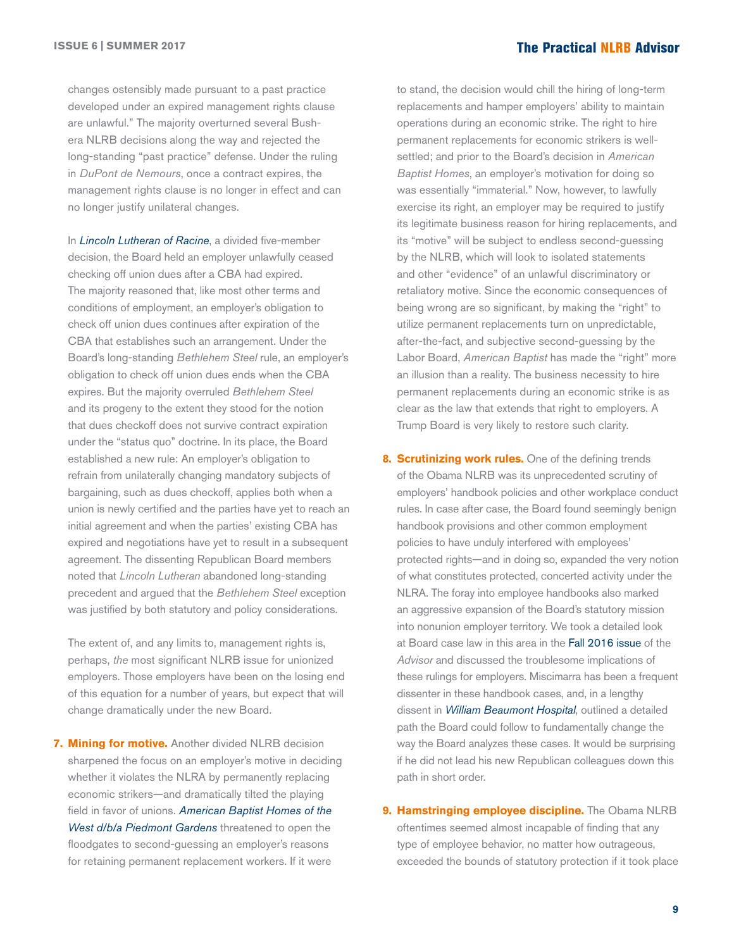changes ostensibly made pursuant to a past practice developed under an expired management rights clause are unlawful." The majority overturned several Bushera NLRB decisions along the way and rejected the long-standing "past practice" defense. Under the ruling in *DuPont de Nemours*, once a contract expires, the management rights clause is no longer in effect and can no longer justify unilateral changes.

In *[Lincoln Lutheran of Racine](http://hr.cch.com/ELD/LincolnLutheran.pdf)*, a divided five-member decision, the Board held an employer unlawfully ceased checking off union dues after a CBA had expired. The majority reasoned that, like most other terms and conditions of employment, an employer's obligation to check off union dues continues after expiration of the CBA that establishes such an arrangement. Under the Board's long-standing *Bethlehem Steel* rule, an employer's obligation to check off union dues ends when the CBA expires. But the majority overruled *Bethlehem Steel* and its progeny to the extent they stood for the notion that dues checkoff does not survive contract expiration under the "status quo" doctrine. In its place, the Board established a new rule: An employer's obligation to refrain from unilaterally changing mandatory subjects of bargaining, such as dues checkoff, applies both when a union is newly certified and the parties have yet to reach an initial agreement and when the parties' existing CBA has expired and negotiations have yet to result in a subsequent agreement. The dissenting Republican Board members noted that *Lincoln Lutheran* abandoned long-standing precedent and argued that the *Bethlehem Steel* exception was justified by both statutory and policy considerations.

The extent of, and any limits to, management rights is, perhaps, *the* most significant NLRB issue for unionized employers. Those employers have been on the losing end of this equation for a number of years, but expect that will change dramatically under the new Board.

**7. Mining for motive.** Another divided NLRB decision sharpened the focus on an employer's motive in deciding whether it violates the NLRA by permanently replacing economic strikers—and dramatically tilted the playing field in favor of unions. *[American Baptist Homes of the](http://hr.cch.com/ELD/AmericanBaptistHomes053116.pdf)  [West d/b/a Piedmont Gardens](http://hr.cch.com/ELD/AmericanBaptistHomes053116.pdf)* threatened to open the floodgates to second-guessing an employer's reasons for retaining permanent replacement workers. If it were

to stand, the decision would chill the hiring of long-term replacements and hamper employers' ability to maintain operations during an economic strike. The right to hire permanent replacements for economic strikers is wellsettled; and prior to the Board's decision in *American Baptist Homes*, an employer's motivation for doing so was essentially "immaterial." Now, however, to lawfully exercise its right, an employer may be required to justify its legitimate business reason for hiring replacements, and its "motive" will be subject to endless second-guessing by the NLRB, which will look to isolated statements and other "evidence" of an unlawful discriminatory or retaliatory motive. Since the economic consequences of being wrong are so significant, by making the "right" to utilize permanent replacements turn on unpredictable, after-the-fact, and subjective second-guessing by the Labor Board, *American Baptist* has made the "right" more an illusion than a reality. The business necessity to hire permanent replacements during an economic strike is as clear as the law that extends that right to employers. A Trump Board is very likely to restore such clarity.

- **8. Scrutinizing work rules.** One of the defining trends of the Obama NLRB was its unprecedented scrutiny of employers' handbook policies and other workplace conduct rules. In case after case, the Board found seemingly benign handbook provisions and other common employment policies to have unduly interfered with employees' protected rights—and in doing so, expanded the very notion of what constitutes protected, concerted activity under the NLRA. The foray into employee handbooks also marked an aggressive expansion of the Board's statutory mission into nonunion employer territory. We took a detailed look at Board case law in this area in the [Fall 2016 issue](https://ogletree.com/practices/~/media/f77f06a66c3a4e35a1944e9d4573d240.ashx) of the *Advisor* and discussed the troublesome implications of these rulings for employers. Miscimarra has been a frequent dissenter in these handbook cases, and, in a lengthy dissent in *[William Beaumont Hospital](http://hr.cch.com/ELD/WmBeaumont041316(2).pdf)*, outlined a detailed path the Board could follow to fundamentally change the way the Board analyzes these cases. It would be surprising if he did not lead his new Republican colleagues down this path in short order.
- **9. Hamstringing employee discipline.** The Obama NLRB oftentimes seemed almost incapable of finding that any type of employee behavior, no matter how outrageous, exceeded the bounds of statutory protection if it took place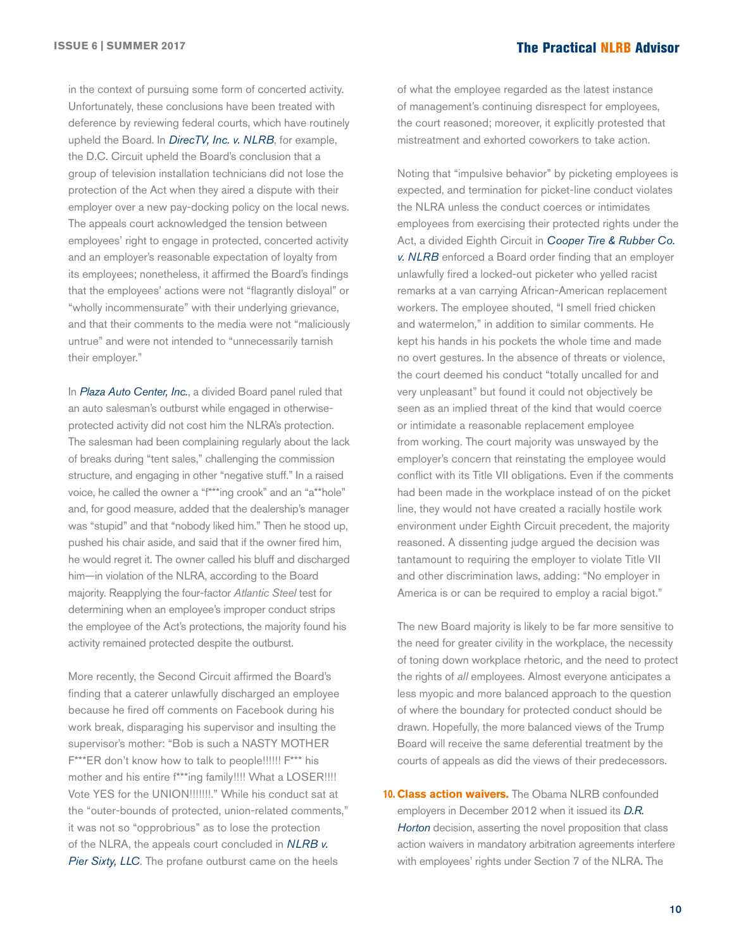in the context of pursuing some form of concerted activity. Unfortunately, these conclusions have been treated with deference by reviewing federal courts, which have routinely upheld the Board. In *[DirecTV, Inc. v. NLRB](http://hr.cch.com/ELD/DirecTVNLRB091616.pdf)*, for example, the D.C. Circuit upheld the Board's conclusion that a group of television installation technicians did not lose the protection of the Act when they aired a dispute with their employer over a new pay-docking policy on the local news. The appeals court acknowledged the tension between employees' right to engage in protected, concerted activity and an employer's reasonable expectation of loyalty from its employees; nonetheless, it affirmed the Board's findings that the employees' actions were not "flagrantly disloyal" or "wholly incommensurate" with their underlying grievance, and that their comments to the media were not "maliciously untrue" and were not intended to "unnecessarily tarnish their employer."

In *[Plaza Auto Center](http://hr.cch.com/eld/1816420a7be110009547e0db5501c0ed01.pdf), Inc.*, a divided Board panel ruled that an auto salesman's outburst while engaged in otherwiseprotected activity did not cost him the NLRA's protection. The salesman had been complaining regularly about the lack of breaks during "tent sales," challenging the commission structure, and engaging in other "negative stuff." In a raised voice, he called the owner a "f\*\*\*ing crook" and an "a\*\*hole" and, for good measure, added that the dealership's manager was "stupid" and that "nobody liked him." Then he stood up, pushed his chair aside, and said that if the owner fired him, he would regret it. The owner called his bluff and discharged him—in violation of the NLRA, according to the Board majority. Reapplying the four-factor *Atlantic Steel* test for determining when an employee's improper conduct strips the employee of the Act's protections, the majority found his activity remained protected despite the outburst.

More recently, the Second Circuit affirmed the Board's finding that a caterer unlawfully discharged an employee because he fired off comments on Facebook during his work break, disparaging his supervisor and insulting the supervisor's mother: "Bob is such a NASTY MOTHER F\*\*\*ER don't know how to talk to people!!!!!! F\*\*\* his mother and his entire f\*\*\*ing family!!!! What a LOSER!!!! Vote YES for the UNION!!!!!!!." While his conduct sat at the "outer-bounds of protected, union-related comments," it was not so "opprobrious" as to lose the protection of the NLRA, the appeals court concluded in *[NLRB v.](http://hr.cch.com/eld/NLRBPierSixty050917.pdf)  [Pier Sixty, LLC](http://hr.cch.com/eld/NLRBPierSixty050917.pdf)*. The profane outburst came on the heels

of what the employee regarded as the latest instance of management's continuing disrespect for employees, the court reasoned; moreover, it explicitly protested that mistreatment and exhorted coworkers to take action.

Noting that "impulsive behavior" by picketing employees is expected, and termination for picket-line conduct violates the NLRA unless the conduct coerces or intimidates employees from exercising their protected rights under the Act, a divided Eighth Circuit in *[Cooper Tire & Rubber Co.](http://hr.cch.com/ELD/CooperTireNLRB080817.pdf)  [v. NLRB](http://hr.cch.com/ELD/CooperTireNLRB080817.pdf)* enforced a Board order finding that an employer unlawfully fired a locked-out picketer who yelled racist remarks at a van carrying African-American replacement workers. The employee shouted, "I smell fried chicken and watermelon," in addition to similar comments. He kept his hands in his pockets the whole time and made no overt gestures. In the absence of threats or violence, the court deemed his conduct "totally uncalled for and very unpleasant" but found it could not objectively be seen as an implied threat of the kind that would coerce or intimidate a reasonable replacement employee from working. The court majority was unswayed by the employer's concern that reinstating the employee would conflict with its Title VII obligations. Even if the comments had been made in the workplace instead of on the picket line, they would not have created a racially hostile work environment under Eighth Circuit precedent, the majority reasoned. A dissenting judge argued the decision was tantamount to requiring the employer to violate Title VII and other discrimination laws, adding: "No employer in America is or can be required to employ a racial bigot."

The new Board majority is likely to be far more sensitive to the need for greater civility in the workplace, the necessity of toning down workplace rhetoric, and the need to protect the rights of *all* employees. Almost everyone anticipates a less myopic and more balanced approach to the question of where the boundary for protected conduct should be drawn. Hopefully, the more balanced views of the Trump Board will receive the same deferential treatment by the courts of appeals as did the views of their predecessors.

**10. Class action waivers.** The Obama NLRB confounded employers in December 2012 when it issued its *[D.R.](http://hr.cch.com/eld/DRHorton.pdf)  [Horton](http://hr.cch.com/eld/DRHorton.pdf)* decision, asserting the novel proposition that class action waivers in mandatory arbitration agreements interfere with employees' rights under Section 7 of the NLRA. The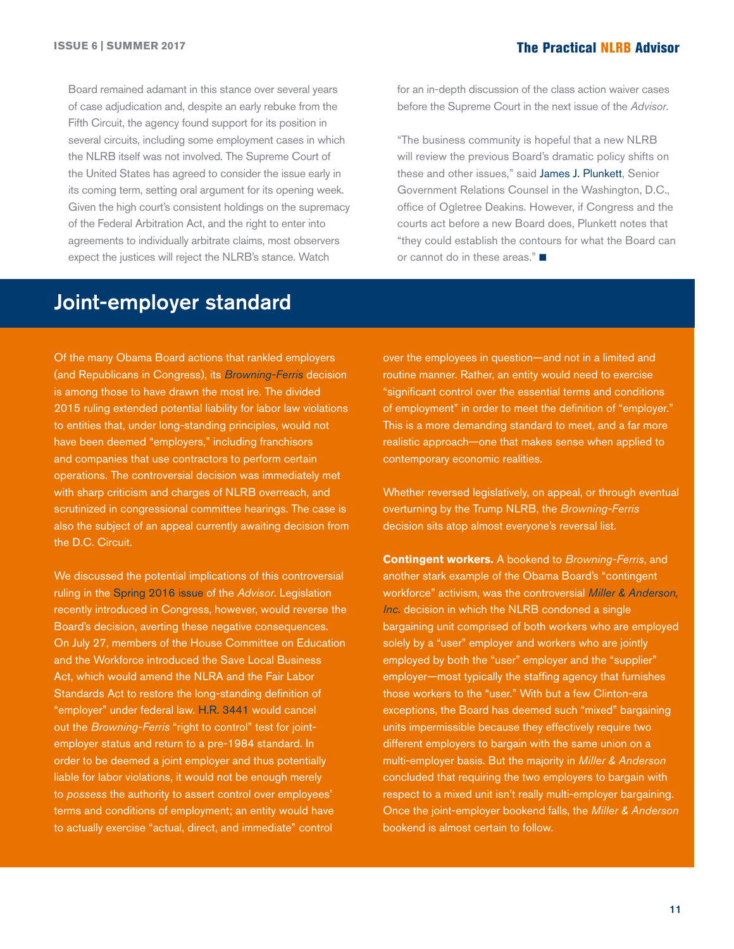Board remained adamant in this stance over several years of case adjudication and, despite an early rebuke from the Fifth Circuit, the agency found support for its position in several circuits, including some employment cases in which the NLRB itself was not involved. The Supreme Court of the United States has agreed to consider the issue early in its coming term, setting oral argument for its opening week. Given the high court's consistent holdings on the supremacy of the Federal Arbitration Act, and the right to enter into agreements to individually arbitrate claims, most observers expect the justices will reject the NLRB's stance. Watch

for an in-depth discussion of the class action waiver cases before the Supreme Court in the next issue of the *Advisor*.

"The business community is hopeful that a new NLRB will review the previous Board's dramatic policy shifts on these and other issues," said [James J. Plunkett](http://ogletree.com/people/james-j-plunkett), Senior Government Relations Counsel in the Washington, D.C., office of Ogletree Deakins. However, if Congress and the courts act before a new Board does, Plunkett notes that "they could establish the contours for what the Board can or cannot do in these areas." $\blacksquare$ 

# Joint-employer standard

Of the many Obama Board actions that rankled employers (and Republicans in Congress), its *[Browning-Ferris](http://hr.cch.com/eld/browningferris.pdf)* decision is among those to have drawn the most ire. The divided 2015 ruling extended potential liability for labor law violations to entities that, under long-standing principles, would not have been deemed "employers," including franchisors and companies that use contractors to perform certain operations. The controversial decision was immediately met with sharp criticism and charges of NLRB overreach, and scrutinized in congressional committee hearings. The case is also the subject of an appeal currently awaiting decision from the D.C. Circuit.

We discussed the potential implications of this controversial ruling in the [Spring 2016 issue](https://ogletree.com/practices/~/media/51271e11141a438ca8136e17d8c534da.ashx) of the *Advisor*. Legislation recently introduced in Congress, however, would reverse the Board's decision, averting these negative consequences. On July 27, members of the House Committee on Education and the Workforce introduced the Save Local Business Act, which would amend the NLRA and the Fair Labor Standards Act to restore the long-standing definition of "employer" under federal law. [H.R. 3441](https://edworkforce.house.gov/uploadedfiles/joint_07_xml_.pdf) would cancel out the *Browning-Ferris* "right to control" test for jointemployer status and return to a pre-1984 standard. In order to be deemed a joint employer and thus potentially liable for labor violations, it would not be enough merely to *possess* the authority to assert control over employees' terms and conditions of employment; an entity would have to actually exercise "actual, direct, and immediate" control

over the employees in question—and not in a limited and routine manner. Rather, an entity would need to exercise "significant control over the essential terms and conditions of employment" in order to meet the definition of "employer." This is a more demanding standard to meet, and a far more realistic approach—one that makes sense when applied to contemporary economic realities.

Whether reversed legislatively, on appeal, or through eventual overturning by the Trump NLRB, the *Browning-Ferris* decision sits atop almost everyone's reversal list.

**Contingent workers.** A bookend to *Browning-Ferris*, and another stark example of the Obama Board's "contingent workforce" activism, was the controversial *[Miller & Anderson,](http://hr.cch.com/ELD/MillerAnderson071116.pdf)  [Inc](http://hr.cch.com/ELD/MillerAnderson071116.pdf).* decision in which the NLRB condoned a single bargaining unit comprised of both workers who are employed solely by a "user" employer and workers who are jointly employed by both the "user" employer and the "supplier" employer—most typically the staffing agency that furnishes those workers to the "user." With but a few Clinton-era exceptions, the Board has deemed such "mixed" bargaining units impermissible because they effectively require two different employers to bargain with the same union on a multi-employer basis. But the majority in *Miller & Anderson* concluded that requiring the two employers to bargain with respect to a mixed unit isn't really multi-employer bargaining. Once the joint-employer bookend falls, the *Miller & Anderson* bookend is almost certain to follow.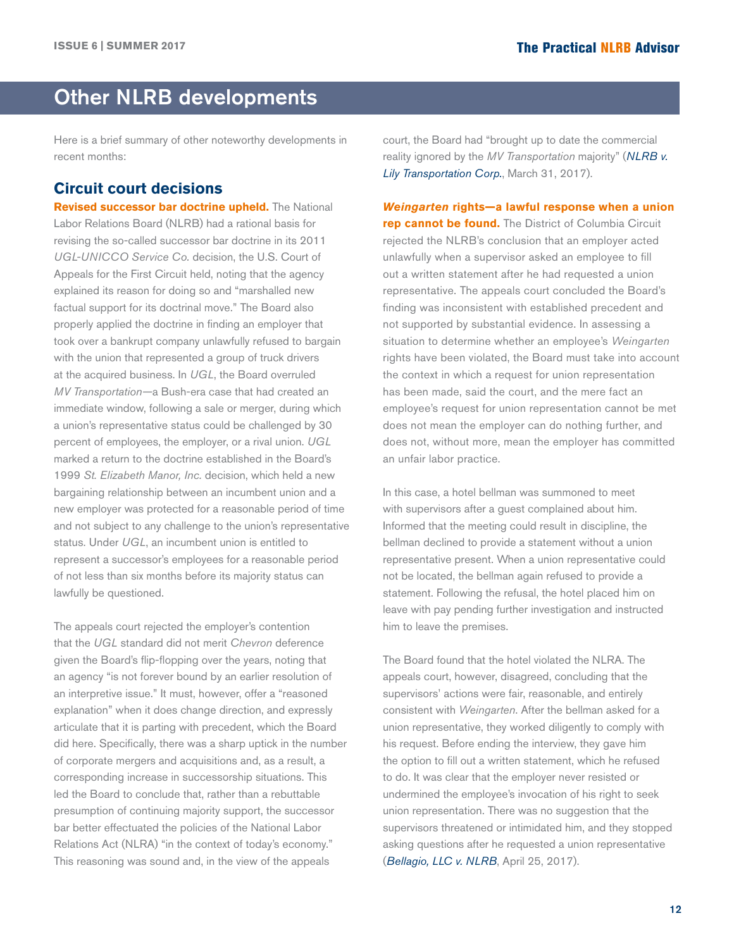# <span id="page-11-0"></span>Other NLRB developments

Here is a brief summary of other noteworthy developments in recent months:

# **Circuit court decisions**

**Revised successor bar doctrine upheld.** The National Labor Relations Board (NLRB) had a rational basis for revising the so-called successor bar doctrine in its 2011 *UGL-UNICCO Service Co.* decision, the U.S. Court of Appeals for the First Circuit held, noting that the agency explained its reason for doing so and "marshalled new factual support for its doctrinal move." The Board also properly applied the doctrine in finding an employer that took over a bankrupt company unlawfully refused to bargain with the union that represented a group of truck drivers at the acquired business. In *UGL*, the Board overruled *MV Transportation—*a Bush-era case that had created an immediate window, following a sale or merger, during which a union's representative status could be challenged by 30 percent of employees, the employer, or a rival union. *UGL* marked a return to the doctrine established in the Board's 1999 *St. Elizabeth Manor, Inc.* decision, which held a new bargaining relationship between an incumbent union and a new employer was protected for a reasonable period of time and not subject to any challenge to the union's representative status. Under *UGL*, an incumbent union is entitled to represent a successor's employees for a reasonable period of not less than six months before its majority status can lawfully be questioned.

The appeals court rejected the employer's contention that the *UGL* standard did not merit *Chevron* deference given the Board's flip-flopping over the years, noting that an agency "is not forever bound by an earlier resolution of an interpretive issue." It must, however, offer a "reasoned explanation" when it does change direction, and expressly articulate that it is parting with precedent, which the Board did here. Specifically, there was a sharp uptick in the number of corporate mergers and acquisitions and, as a result, a corresponding increase in successorship situations. This led the Board to conclude that, rather than a rebuttable presumption of continuing majority support, the successor bar better effectuated the policies of the National Labor Relations Act (NLRA) "in the context of today's economy." This reasoning was sound and, in the view of the appeals

court, the Board had "brought up to date the commercial reality ignored by the *MV Transportation* majority" (*[NLRB v.](http://hr.cch.com/eld/NLRBLily033117.pdf)  [Lily Transportation Corp.](http://hr.cch.com/eld/NLRBLily033117.pdf)*, March 31, 2017).

*Weingarten* **rights—a lawful response when a union rep cannot be found.** The District of Columbia Circuit rejected the NLRB's conclusion that an employer acted unlawfully when a supervisor asked an employee to fill out a written statement after he had requested a union representative. The appeals court concluded the Board's finding was inconsistent with established precedent and not supported by substantial evidence. In assessing a situation to determine whether an employee's *Weingarten*  rights have been violated, the Board must take into account the context in which a request for union representation has been made, said the court, and the mere fact an employee's request for union representation cannot be met does not mean the employer can do nothing further, and does not, without more, mean the employer has committed an unfair labor practice.

In this case, a hotel bellman was summoned to meet with supervisors after a guest complained about him. Informed that the meeting could result in discipline, the bellman declined to provide a statement without a union representative present. When a union representative could not be located, the bellman again refused to provide a statement. Following the refusal, the hotel placed him on leave with pay pending further investigation and instructed him to leave the premises.

The Board found that the hotel violated the NLRA. The appeals court, however, disagreed, concluding that the supervisors' actions were fair, reasonable, and entirely consistent with *Weingarten*. After the bellman asked for a union representative, they worked diligently to comply with his request. Before ending the interview, they gave him the option to fill out a written statement, which he refused to do. It was clear that the employer never resisted or undermined the employee's invocation of his right to seek union representation. There was no suggestion that the supervisors threatened or intimidated him, and they stopped asking questions after he requested a union representative (*[Bellagio, LLC v. NLRB](http://hr.cch.com/ELD/BellagioNLRB042517.pdf)*, April 25, 2017).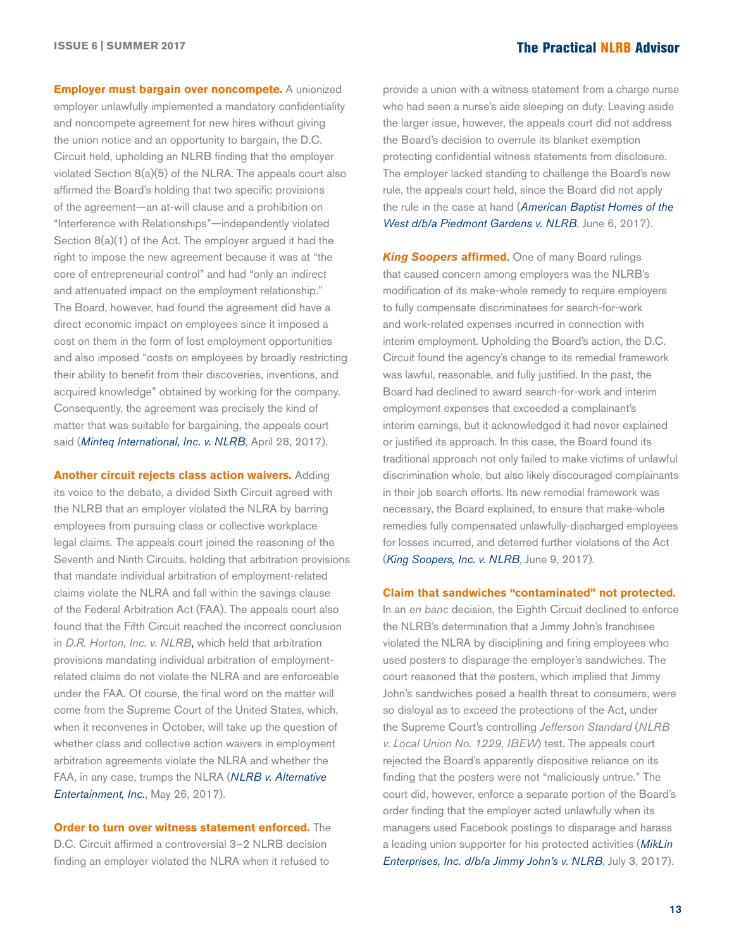**Employer must bargain over noncompete.** A unionized employer unlawfully implemented a mandatory confidentiality and noncompete agreement for new hires without giving the union notice and an opportunity to bargain, the D.C. Circuit held, upholding an NLRB finding that the employer violated Section 8(a)(5) of the NLRA. The appeals court also affirmed the Board's holding that two specific provisions of the agreement—an at-will clause and a prohibition on "Interference with Relationships"—independently violated Section 8(a)(1) of the Act. The employer argued it had the right to impose the new agreement because it was at "the core of entrepreneurial control" and had "only an indirect and attenuated impact on the employment relationship." The Board, however, had found the agreement did have a direct economic impact on employees since it imposed a cost on them in the form of lost employment opportunities and also imposed "costs on employees by broadly restricting their ability to benefit from their discoveries, inventions, and acquired knowledge" obtained by working for the company. Consequently, the agreement was precisely the kind of matter that was suitable for bargaining, the appeals court said (*[Minteq International, Inc. v. NLRB](http://hr.cch.com/eld/MinteqNLRB042817.pdf)*, April 28, 2017).

**Another circuit rejects class action waivers.** Adding its voice to the debate, a divided Sixth Circuit agreed with the NLRB that an employer violated the NLRA by barring employees from pursuing class or collective workplace legal claims. The appeals court joined the reasoning of the Seventh and Ninth Circuits, holding that arbitration provisions that mandate individual arbitration of employment-related claims violate the NLRA and fall within the savings clause of the Federal Arbitration Act (FAA). The appeals court also found that the Fifth Circuit reached the incorrect conclusion in *D.R. Horton, Inc. v. NLRB*, which held that arbitration provisions mandating individual arbitration of employmentrelated claims do not violate the NLRA and are enforceable under the FAA. Of course, the final word on the matter will come from the Supreme Court of the United States, which, when it reconvenes in October, will take up the question of whether class and collective action waivers in employment arbitration agreements violate the NLRA and whether the FAA, in any case, trumps the NLRA (*[NLRB v. Alternative](http://hr.cch.com/eld/NLRBAlternative052617.pdf)  [Entertainment, Inc.](http://hr.cch.com/eld/NLRBAlternative052617.pdf)*, May 26, 2017).

**Order to turn over witness statement enforced.** The D.C. Circuit affirmed a controversial 3–2 NLRB decision finding an employer violated the NLRA when it refused to

provide a union with a witness statement from a charge nurse who had seen a nurse's aide sleeping on duty. Leaving aside the larger issue, however, the appeals court did not address the Board's decision to overrule its blanket exemption protecting confidential witness statements from disclosure. The employer lacked standing to challenge the Board's new rule, the appeals court held, since the Board did not apply the rule in the case at hand (*[American Baptist Homes of the](http://hr.cch.com/ELD/AmericanBaptistNLRB060617.pdf)  [West d/b/a Piedmont Gardens v. NLRB](http://hr.cch.com/ELD/AmericanBaptistNLRB060617.pdf)*, June 6, 2017).

*King Soopers* **affirmed.** One of many Board rulings that caused concern among employers was the NLRB's modification of its make-whole remedy to require employers to fully compensate discriminatees for search-for-work and work-related expenses incurred in connection with interim employment. Upholding the Board's action, the D.C. Circuit found the agency's change to its remedial framework was lawful, reasonable, and fully justified. In the past, the Board had declined to award search-for-work and interim employment expenses that exceeded a complainant's interim earnings, but it acknowledged it had never explained or justified its approach. In this case, the Board found its traditional approach not only failed to make victims of unlawful discrimination whole, but also likely discouraged complainants in their job search efforts. Its new remedial framework was necessary, the Board explained, to ensure that make-whole remedies fully compensated unlawfully-discharged employees for losses incurred, and deterred further violations of the Act (*[King Soopers, Inc. v. NLRB](http://hr.cch.com/ELD/KingSoopersNLRB060917.pdf)*, June 9, 2017).

#### **Claim that sandwiches "contaminated" not protected.**

In an *en banc* decision, the Eighth Circuit declined to enforce the NLRB's determination that a Jimmy John's franchisee violated the NLRA by disciplining and firing employees who used posters to disparage the employer's sandwiches. The court reasoned that the posters, which implied that Jimmy John's sandwiches posed a health threat to consumers, were so disloyal as to exceed the protections of the Act, under the Supreme Court's controlling *Jefferson Standard* (*NLRB v. Local Union No. 1229, IBEW*) test. The appeals court rejected the Board's apparently dispositive reliance on its finding that the posters were not "maliciously untrue." The court did, however, enforce a separate portion of the Board's order finding that the employer acted unlawfully when its managers used Facebook postings to disparage and harass a leading union supporter for his protected activities (*[MikLin](http://hr.cch.com/eld/MikLinNLRB070317.pdf)  [Enterprises, Inc. d/b/a Jimmy John's v. NLRB](http://hr.cch.com/eld/MikLinNLRB070317.pdf)*, July 3, 2017).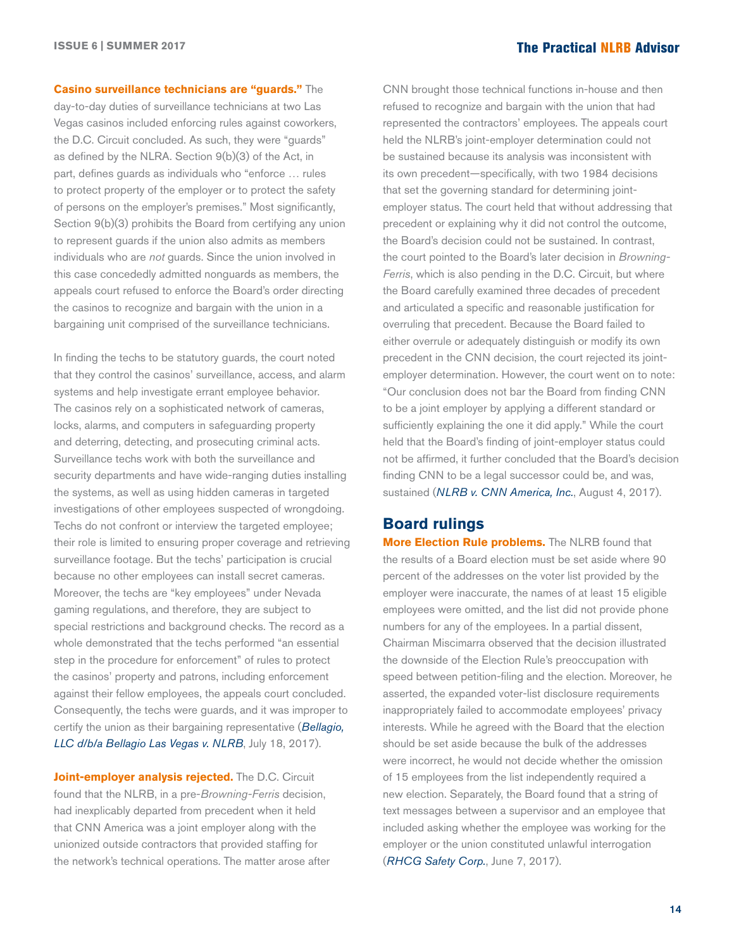### **Casino surveillance technicians are "guards."** The

day-to-day duties of surveillance technicians at two Las Vegas casinos included enforcing rules against coworkers, the D.C. Circuit concluded. As such, they were "guards" as defined by the NLRA. Section 9(b)(3) of the Act, in part, defines guards as individuals who "enforce … rules to protect property of the employer or to protect the safety of persons on the employer's premises." Most significantly, Section 9(b)(3) prohibits the Board from certifying any union to represent guards if the union also admits as members individuals who are *not* guards. Since the union involved in this case concededly admitted nonguards as members, the appeals court refused to enforce the Board's order directing the casinos to recognize and bargain with the union in a bargaining unit comprised of the surveillance technicians.

In finding the techs to be statutory guards, the court noted that they control the casinos' surveillance, access, and alarm systems and help investigate errant employee behavior. The casinos rely on a sophisticated network of cameras, locks, alarms, and computers in safeguarding property and deterring, detecting, and prosecuting criminal acts. Surveillance techs work with both the surveillance and security departments and have wide-ranging duties installing the systems, as well as using hidden cameras in targeted investigations of other employees suspected of wrongdoing. Techs do not confront or interview the targeted employee; their role is limited to ensuring proper coverage and retrieving surveillance footage. But the techs' participation is crucial because no other employees can install secret cameras. Moreover, the techs are "key employees" under Nevada gaming regulations, and therefore, they are subject to special restrictions and background checks. The record as a whole demonstrated that the techs performed "an essential step in the procedure for enforcement" of rules to protect the casinos' property and patrons, including enforcement against their fellow employees, the appeals court concluded. Consequently, the techs were guards, and it was improper to certify the union as their bargaining representative (*[Bellagio,](http://hr.cch.com/eld/BellagioNLRB071817.pdf)  [LLC d/b/a Bellagio Las Vegas v. NLRB](http://hr.cch.com/eld/BellagioNLRB071817.pdf)*, July 18, 2017).

**Joint-employer analysis rejected.** The D.C. Circuit found that the NLRB, in a pre-*Browning-Ferris* decision, had inexplicably departed from precedent when it held that CNN America was a joint employer along with the unionized outside contractors that provided staffing for the network's technical operations. The matter arose after

CNN brought those technical functions in-house and then refused to recognize and bargain with the union that had represented the contractors' employees. The appeals court held the NLRB's joint-employer determination could not be sustained because its analysis was inconsistent with its own precedent—specifically, with two 1984 decisions that set the governing standard for determining jointemployer status. The court held that without addressing that precedent or explaining why it did not control the outcome, the Board's decision could not be sustained. In contrast, the court pointed to the Board's later decision in *Browning-Ferris*, which is also pending in the D.C. Circuit, but where the Board carefully examined three decades of precedent and articulated a specific and reasonable justification for overruling that precedent. Because the Board failed to either overrule or adequately distinguish or modify its own precedent in the CNN decision, the court rejected its jointemployer determination. However, the court went on to note: "Our conclusion does not bar the Board from finding CNN to be a joint employer by applying a different standard or sufficiently explaining the one it did apply." While the court held that the Board's finding of joint-employer status could not be affirmed, it further concluded that the Board's decision finding CNN to be a legal successor could be, and was, sustained (*[NLRB v. CNN America, Inc.](http://hr.cch.com/eld/NLRBCNN080417.pdf)*, August 4, 2017).

## **Board rulings**

**More Election Rule problems.** The NLRB found that the results of a Board election must be set aside where 90 percent of the addresses on the voter list provided by the employer were inaccurate, the names of at least 15 eligible employees were omitted, and the list did not provide phone numbers for any of the employees. In a partial dissent, Chairman Miscimarra observed that the decision illustrated the downside of the Election Rule's preoccupation with speed between petition-filing and the election. Moreover, he asserted, the expanded voter-list disclosure requirements inappropriately failed to accommodate employees' privacy interests. While he agreed with the Board that the election should be set aside because the bulk of the addresses were incorrect, he would not decide whether the omission of 15 employees from the list independently required a new election. Separately, the Board found that a string of text messages between a supervisor and an employee that included asking whether the employee was working for the employer or the union constituted unlawful interrogation (*[RHCG Safety Corp.](http://hr.cch.com/eld/RHCG060717-002.pdf)*, June 7, 2017).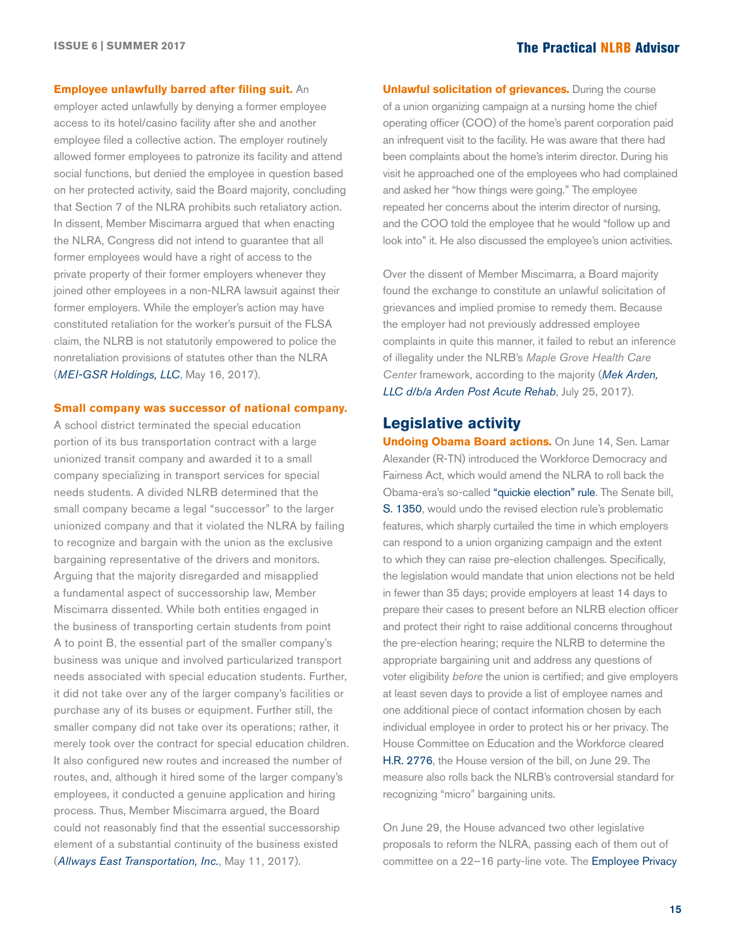#### **Employee unlawfully barred after filing suit.** An

employer acted unlawfully by denying a former employee access to its hotel/casino facility after she and another employee filed a collective action. The employer routinely allowed former employees to patronize its facility and attend social functions, but denied the employee in question based on her protected activity, said the Board majority, concluding that Section 7 of the NLRA prohibits such retaliatory action. In dissent, Member Miscimarra argued that when enacting the NLRA, Congress did not intend to guarantee that all former employees would have a right of access to the private property of their former employers whenever they joined other employees in a non-NLRA lawsuit against their former employers. While the employer's action may have constituted retaliation for the worker's pursuit of the FLSA claim, the NLRB is not statutorily empowered to police the nonretaliation provisions of statutes other than the NLRA (*[MEI-GSR Holdings, LLC](http://hr.cch.com/eld/MEIGSR051617.pdf)*, May 16, 2017).

#### **Small company was successor of national company.**

A school district terminated the special education portion of its bus transportation contract with a large unionized transit company and awarded it to a small company specializing in transport services for special needs students. A divided NLRB determined that the small company became a legal "successor" to the larger unionized company and that it violated the NLRA by failing to recognize and bargain with the union as the exclusive bargaining representative of the drivers and monitors. Arguing that the majority disregarded and misapplied a fundamental aspect of successorship law, Member Miscimarra dissented. While both entities engaged in the business of transporting certain students from point A to point B, the essential part of the smaller company's business was unique and involved particularized transport needs associated with special education students. Further, it did not take over any of the larger company's facilities or purchase any of its buses or equipment. Further still, the smaller company did not take over its operations; rather, it merely took over the contract for special education children. It also configured new routes and increased the number of routes, and, although it hired some of the larger company's employees, it conducted a genuine application and hiring process. Thus, Member Miscimarra argued, the Board could not reasonably find that the essential successorship element of a substantial continuity of the business existed (*[Allways East Transportation, Inc.](http://hr.cch.com/eld/AllwaysEast051117.pdf)*, May 11, 2017).

**Unlawful solicitation of grievances.** During the course of a union organizing campaign at a nursing home the chief operating officer (COO) of the home's parent corporation paid an infrequent visit to the facility. He was aware that there had been complaints about the home's interim director. During his visit he approached one of the employees who had complained and asked her "how things were going." The employee repeated her concerns about the interim director of nursing, and the COO told the employee that he would "follow up and look into" it. He also discussed the employee's union activities.

Over the dissent of Member Miscimarra, a Board majority found the exchange to constitute an unlawful solicitation of grievances and implied promise to remedy them. Because the employer had not previously addressed employee complaints in quite this manner, it failed to rebut an inference of illegality under the NLRB's *Maple Grove Health Care Center* framework, according to the majority (*[Mek Arden,](http://hr.cch.com/eld/MekArdenLLC072517.pdf)  [LLC d/b/a Arden Post Acute Rehab](http://hr.cch.com/eld/MekArdenLLC072517.pdf)*, July 25, 2017).

## **Legislative activity**

**Undoing Obama Board actions.** On June 14, Sen. Lamar Alexander (R-TN) introduced the Workforce Democracy and Fairness Act, which would amend the NLRA to roll back the Obama-era's so-called ["quickie election" rule.](https://www.gpo.gov/fdsys/pkg/FR-2014-12-15/pdf/2014-28777.pdf) The Senate bill, [S. 1350](http://hr.cch.com/ELD/S1350final.pdf), would undo the revised election rule's problematic features, which sharply curtailed the time in which employers can respond to a union organizing campaign and the extent to which they can raise pre-election challenges. Specifically, the legislation would mandate that union elections not be held in fewer than 35 days; provide employers at least 14 days to prepare their cases to present before an NLRB election officer and protect their right to raise additional concerns throughout the pre-election hearing; require the NLRB to determine the appropriate bargaining unit and address any questions of voter eligibility *before* the union is certified; and give employers at least seven days to provide a list of employee names and one additional piece of contact information chosen by each individual employee in order to protect his or her privacy. The House Committee on Education and the Workforce cleared [H.R. 2776,](https://edworkforce.house.gov/uploadedfiles/hr_2776_bill_text.pdf) the House version of the bill, on June 29. The measure also rolls back the NLRB's controversial standard for recognizing "micro" bargaining units.

On June 29, the House advanced two other legislative proposals to reform the NLRA, passing each of them out of committee on a 22–16 party-line vote. The [Employee Privacy](https://edworkforce.house.gov/uploadedfiles/fact_sheet_-_employee_privacy_protection_act_2017_final.pdf)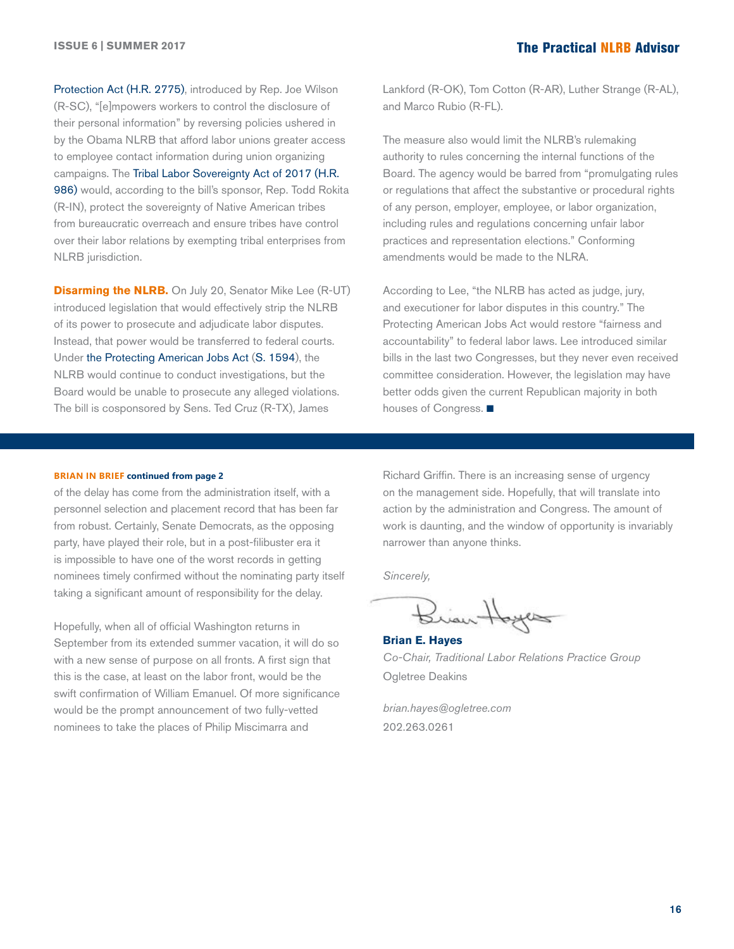[Protection Act](https://edworkforce.house.gov/uploadedfiles/fact_sheet_-_employee_privacy_protection_act_2017_final.pdf) ([H.R. 2775\)](https://edworkforce.house.gov/uploadedfiles/hr_2775_bill_text.pdf), introduced by Rep. Joe Wilson (R-SC), "[e]mpowers workers to control the disclosure of their personal information" by reversing policies ushered in by the Obama NLRB that afford labor unions greater access to employee contact information during union organizing campaigns. The [Tribal Labor Sovereignty Act](https://edworkforce.house.gov/uploadedfiles/tlsa_fact_sheet.pdf) of 2017 ([H.R.](https://www.congress.gov/115/bills/hr986/BILLS-115hr986ih.pdf)  [986\)](https://www.congress.gov/115/bills/hr986/BILLS-115hr986ih.pdf) would, according to the bill's sponsor, Rep. Todd Rokita (R-IN), protect the sovereignty of Native American tribes from bureaucratic overreach and ensure tribes have control over their labor relations by exempting tribal enterprises from NLRB jurisdiction.

**Disarming the NLRB.** On July 20, Senator Mike Lee (R-UT) introduced legislation that would effectively strip the NLRB of its power to prosecute and adjudicate labor disputes. Instead, that power would be transferred to federal courts. Under [the Protecting American Jobs Act \(S. 1594](http://hr.cch.com/eld/ProtectingAmericanJobsAct.pdf)), the NLRB would continue to conduct investigations, but the Board would be unable to prosecute any alleged violations. The bill is cosponsored by Sens. Ted Cruz (R-TX), James

Lankford (R-OK), Tom Cotton (R-AR), Luther Strange (R-AL), and Marco Rubio (R-FL).

The measure also would limit the NLRB's rulemaking authority to rules concerning the internal functions of the Board. The agency would be barred from "promulgating rules or regulations that affect the substantive or procedural rights of any person, employer, employee, or labor organization, including rules and regulations concerning unfair labor practices and representation elections." Conforming amendments would be made to the NLRA.

According to Lee, "the NLRB has acted as judge, jury, and executioner for labor disputes in this country." The Protecting American Jobs Act would restore "fairness and accountability" to federal labor laws. Lee introduced similar bills in the last two Congresses, but they never even received committee consideration. However, the legislation may have better odds given the current Republican majority in both houses of Congress.  $\blacksquare$ 

#### **BRIAN IN BRIEF continued from page 2**

of the delay has come from the administration itself, with a personnel selection and placement record that has been far from robust. Certainly, Senate Democrats, as the opposing party, have played their role, but in a post-filibuster era it is impossible to have one of the worst records in getting nominees timely confirmed without the nominating party itself taking a significant amount of responsibility for the delay.

Hopefully, when all of official Washington returns in September from its extended summer vacation, it will do so with a new sense of purpose on all fronts. A first sign that this is the case, at least on the labor front, would be the swift confirmation of William Emanuel. Of more significance would be the prompt announcement of two fully-vetted nominees to take the places of Philip Miscimarra and

Richard Griffin. There is an increasing sense of urgency on the management side. Hopefully, that will translate into action by the administration and Congress. The amount of work is daunting, and the window of opportunity is invariably narrower than anyone thinks.

*Sincerely,*

Brian Hoyes

**Brian E. Hayes** *Co-Chair, Traditional Labor Relations Practice Group* Ogletree Deakins

*[brian.hayes@ogletree.com](mailto:brian.hayes@ogletree.com)* 202.263.0261